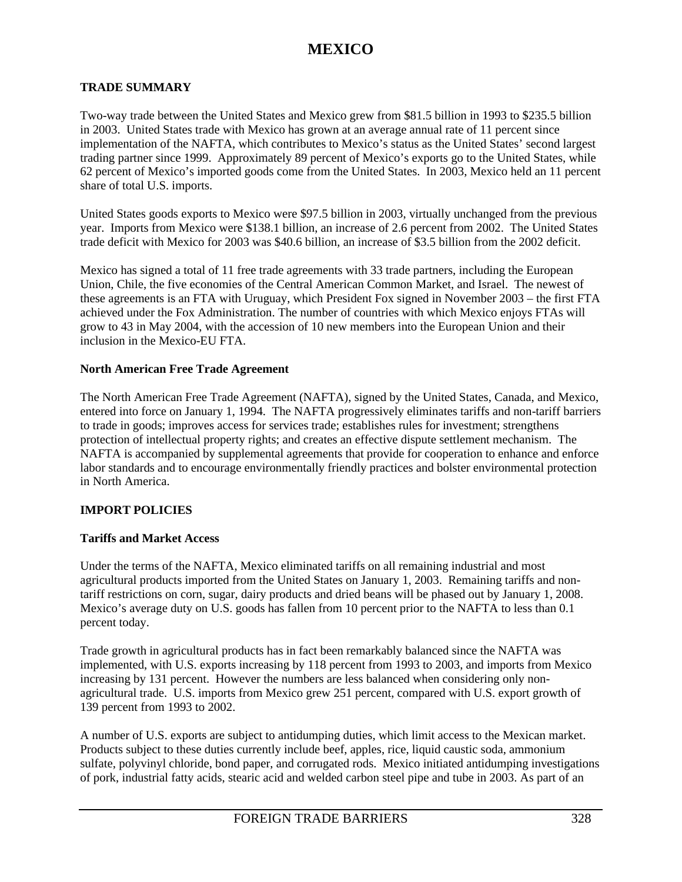#### **TRADE SUMMARY**

Two-way trade between the United States and Mexico grew from \$81.5 billion in 1993 to \$235.5 billion in 2003. United States trade with Mexico has grown at an average annual rate of 11 percent since implementation of the NAFTA, which contributes to Mexico's status as the United States' second largest trading partner since 1999. Approximately 89 percent of Mexico's exports go to the United States, while 62 percent of Mexico's imported goods come from the United States. In 2003, Mexico held an 11 percent share of total U.S. imports.

United States goods exports to Mexico were \$97.5 billion in 2003, virtually unchanged from the previous year. Imports from Mexico were \$138.1 billion, an increase of 2.6 percent from 2002. The United States trade deficit with Mexico for 2003 was \$40.6 billion, an increase of \$3.5 billion from the 2002 deficit.

Mexico has signed a total of 11 free trade agreements with 33 trade partners, including the European Union, Chile, the five economies of the Central American Common Market, and Israel. The newest of these agreements is an FTA with Uruguay, which President Fox signed in November 2003 – the first FTA achieved under the Fox Administration. The number of countries with which Mexico enjoys FTAs will grow to 43 in May 2004, with the accession of 10 new members into the European Union and their inclusion in the Mexico-EU FTA.

#### **North American Free Trade Agreement**

The North American Free Trade Agreement (NAFTA), signed by the United States, Canada, and Mexico, entered into force on January 1, 1994. The NAFTA progressively eliminates tariffs and non-tariff barriers to trade in goods; improves access for services trade; establishes rules for investment; strengthens protection of intellectual property rights; and creates an effective dispute settlement mechanism. The NAFTA is accompanied by supplemental agreements that provide for cooperation to enhance and enforce labor standards and to encourage environmentally friendly practices and bolster environmental protection in North America.

#### **IMPORT POLICIES**

#### **Tariffs and Market Access**

Under the terms of the NAFTA, Mexico eliminated tariffs on all remaining industrial and most agricultural products imported from the United States on January 1, 2003. Remaining tariffs and nontariff restrictions on corn, sugar, dairy products and dried beans will be phased out by January 1, 2008. Mexico's average duty on U.S. goods has fallen from 10 percent prior to the NAFTA to less than 0.1 percent today.

Trade growth in agricultural products has in fact been remarkably balanced since the NAFTA was implemented, with U.S. exports increasing by 118 percent from 1993 to 2003, and imports from Mexico increasing by 131 percent. However the numbers are less balanced when considering only nonagricultural trade. U.S. imports from Mexico grew 251 percent, compared with U.S. export growth of 139 percent from 1993 to 2002.

A number of U.S. exports are subject to antidumping duties, which limit access to the Mexican market. Products subject to these duties currently include beef, apples, rice, liquid caustic soda, ammonium sulfate, polyvinyl chloride, bond paper, and corrugated rods. Mexico initiated antidumping investigations of pork, industrial fatty acids, stearic acid and welded carbon steel pipe and tube in 2003. As part of an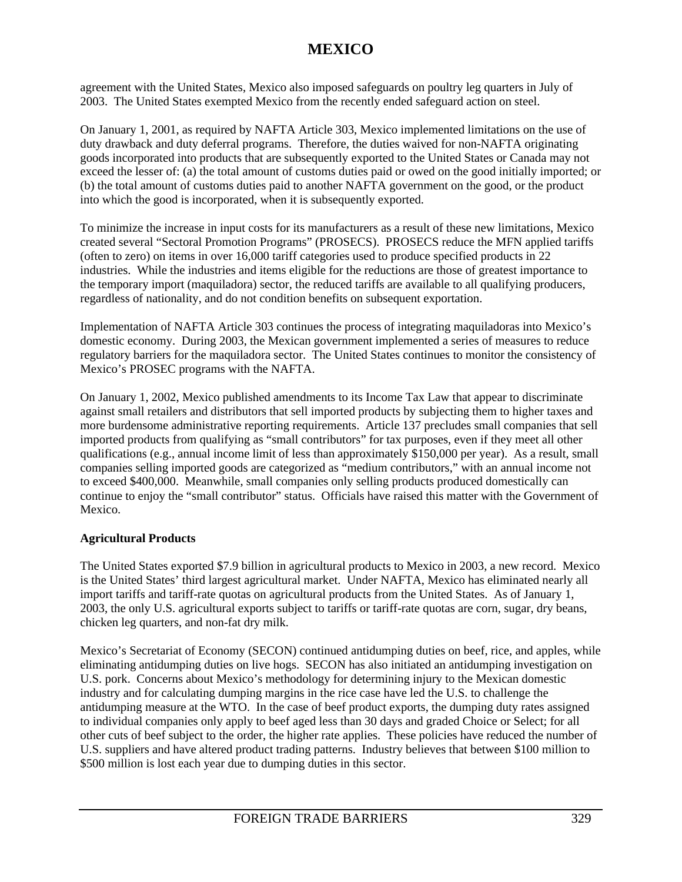agreement with the United States, Mexico also imposed safeguards on poultry leg quarters in July of 2003. The United States exempted Mexico from the recently ended safeguard action on steel.

On January 1, 2001, as required by NAFTA Article 303, Mexico implemented limitations on the use of duty drawback and duty deferral programs. Therefore, the duties waived for non-NAFTA originating goods incorporated into products that are subsequently exported to the United States or Canada may not exceed the lesser of: (a) the total amount of customs duties paid or owed on the good initially imported; or (b) the total amount of customs duties paid to another NAFTA government on the good, or the product into which the good is incorporated, when it is subsequently exported.

To minimize the increase in input costs for its manufacturers as a result of these new limitations, Mexico created several "Sectoral Promotion Programs" (PROSECS). PROSECS reduce the MFN applied tariffs (often to zero) on items in over 16,000 tariff categories used to produce specified products in 22 industries. While the industries and items eligible for the reductions are those of greatest importance to the temporary import (maquiladora) sector, the reduced tariffs are available to all qualifying producers, regardless of nationality, and do not condition benefits on subsequent exportation.

Implementation of NAFTA Article 303 continues the process of integrating maquiladoras into Mexico's domestic economy. During 2003, the Mexican government implemented a series of measures to reduce regulatory barriers for the maquiladora sector. The United States continues to monitor the consistency of Mexico's PROSEC programs with the NAFTA.

On January 1, 2002, Mexico published amendments to its Income Tax Law that appear to discriminate against small retailers and distributors that sell imported products by subjecting them to higher taxes and more burdensome administrative reporting requirements. Article 137 precludes small companies that sell imported products from qualifying as "small contributors" for tax purposes, even if they meet all other qualifications (e.g., annual income limit of less than approximately \$150,000 per year). As a result, small companies selling imported goods are categorized as "medium contributors," with an annual income not to exceed \$400,000. Meanwhile, small companies only selling products produced domestically can continue to enjoy the "small contributor" status. Officials have raised this matter with the Government of Mexico.

#### **Agricultural Products**

The United States exported \$7.9 billion in agricultural products to Mexico in 2003, a new record. Mexico is the United States' third largest agricultural market. Under NAFTA, Mexico has eliminated nearly all import tariffs and tariff-rate quotas on agricultural products from the United States. As of January 1, 2003, the only U.S. agricultural exports subject to tariffs or tariff-rate quotas are corn, sugar, dry beans, chicken leg quarters, and non-fat dry milk.

Mexico's Secretariat of Economy (SECON) continued antidumping duties on beef, rice, and apples, while eliminating antidumping duties on live hogs. SECON has also initiated an antidumping investigation on U.S. pork. Concerns about Mexico's methodology for determining injury to the Mexican domestic industry and for calculating dumping margins in the rice case have led the U.S. to challenge the antidumping measure at the WTO. In the case of beef product exports, the dumping duty rates assigned to individual companies only apply to beef aged less than 30 days and graded Choice or Select; for all other cuts of beef subject to the order, the higher rate applies. These policies have reduced the number of U.S. suppliers and have altered product trading patterns. Industry believes that between \$100 million to \$500 million is lost each year due to dumping duties in this sector.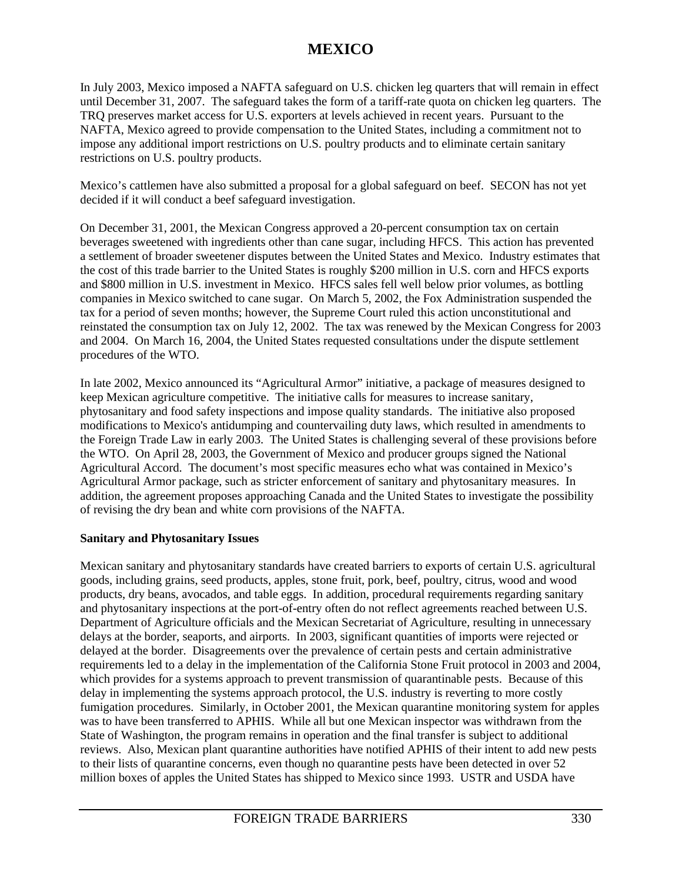In July 2003, Mexico imposed a NAFTA safeguard on U.S. chicken leg quarters that will remain in effect until December 31, 2007. The safeguard takes the form of a tariff-rate quota on chicken leg quarters. The TRQ preserves market access for U.S. exporters at levels achieved in recent years. Pursuant to the NAFTA, Mexico agreed to provide compensation to the United States, including a commitment not to impose any additional import restrictions on U.S. poultry products and to eliminate certain sanitary restrictions on U.S. poultry products.

Mexico's cattlemen have also submitted a proposal for a global safeguard on beef. SECON has not yet decided if it will conduct a beef safeguard investigation.

On December 31, 2001, the Mexican Congress approved a 20-percent consumption tax on certain beverages sweetened with ingredients other than cane sugar, including HFCS. This action has prevented a settlement of broader sweetener disputes between the United States and Mexico. Industry estimates that the cost of this trade barrier to the United States is roughly \$200 million in U.S. corn and HFCS exports and \$800 million in U.S. investment in Mexico. HFCS sales fell well below prior volumes, as bottling companies in Mexico switched to cane sugar. On March 5, 2002, the Fox Administration suspended the tax for a period of seven months; however, the Supreme Court ruled this action unconstitutional and reinstated the consumption tax on July 12, 2002. The tax was renewed by the Mexican Congress for 2003 and 2004. On March 16, 2004, the United States requested consultations under the dispute settlement procedures of the WTO.

In late 2002, Mexico announced its "Agricultural Armor" initiative, a package of measures designed to keep Mexican agriculture competitive. The initiative calls for measures to increase sanitary, phytosanitary and food safety inspections and impose quality standards. The initiative also proposed modifications to Mexico's antidumping and countervailing duty laws, which resulted in amendments to the Foreign Trade Law in early 2003. The United States is challenging several of these provisions before the WTO. On April 28, 2003, the Government of Mexico and producer groups signed the National Agricultural Accord. The document's most specific measures echo what was contained in Mexico's Agricultural Armor package, such as stricter enforcement of sanitary and phytosanitary measures. In addition, the agreement proposes approaching Canada and the United States to investigate the possibility of revising the dry bean and white corn provisions of the NAFTA.

#### **Sanitary and Phytosanitary Issues**

Mexican sanitary and phytosanitary standards have created barriers to exports of certain U.S. agricultural goods, including grains, seed products, apples, stone fruit, pork, beef, poultry, citrus, wood and wood products, dry beans, avocados, and table eggs. In addition, procedural requirements regarding sanitary and phytosanitary inspections at the port-of-entry often do not reflect agreements reached between U.S. Department of Agriculture officials and the Mexican Secretariat of Agriculture, resulting in unnecessary delays at the border, seaports, and airports. In 2003, significant quantities of imports were rejected or delayed at the border. Disagreements over the prevalence of certain pests and certain administrative requirements led to a delay in the implementation of the California Stone Fruit protocol in 2003 and 2004, which provides for a systems approach to prevent transmission of quarantinable pests. Because of this delay in implementing the systems approach protocol, the U.S. industry is reverting to more costly fumigation procedures. Similarly, in October 2001, the Mexican quarantine monitoring system for apples was to have been transferred to APHIS. While all but one Mexican inspector was withdrawn from the State of Washington, the program remains in operation and the final transfer is subject to additional reviews. Also, Mexican plant quarantine authorities have notified APHIS of their intent to add new pests to their lists of quarantine concerns, even though no quarantine pests have been detected in over 52 million boxes of apples the United States has shipped to Mexico since 1993. USTR and USDA have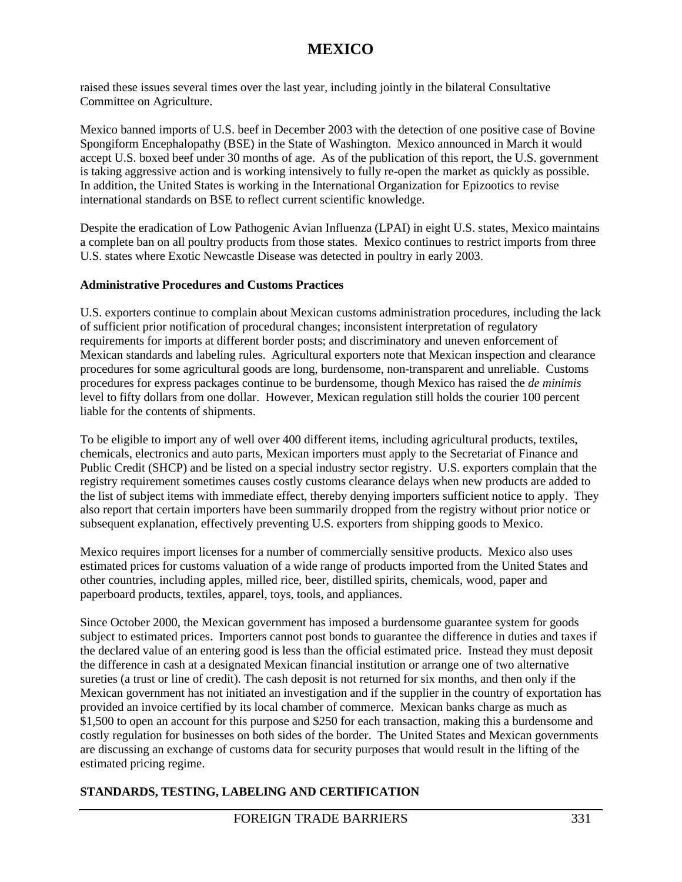raised these issues several times over the last year, including jointly in the bilateral Consultative Committee on Agriculture.

Mexico banned imports of U.S. beef in December 2003 with the detection of one positive case of Bovine Spongiform Encephalopathy (BSE) in the State of Washington. Mexico announced in March it would accept U.S. boxed beef under 30 months of age. As of the publication of this report, the U.S. government is taking aggressive action and is working intensively to fully re-open the market as quickly as possible. In addition, the United States is working in the International Organization for Epizootics to revise international standards on BSE to reflect current scientific knowledge.

Despite the eradication of Low Pathogenic Avian Influenza (LPAI) in eight U.S. states, Mexico maintains a complete ban on all poultry products from those states. Mexico continues to restrict imports from three U.S. states where Exotic Newcastle Disease was detected in poultry in early 2003.

#### **Administrative Procedures and Customs Practices**

U.S. exporters continue to complain about Mexican customs administration procedures, including the lack of sufficient prior notification of procedural changes; inconsistent interpretation of regulatory requirements for imports at different border posts; and discriminatory and uneven enforcement of Mexican standards and labeling rules. Agricultural exporters note that Mexican inspection and clearance procedures for some agricultural goods are long, burdensome, non-transparent and unreliable. Customs procedures for express packages continue to be burdensome, though Mexico has raised the *de minimis* level to fifty dollars from one dollar. However, Mexican regulation still holds the courier 100 percent liable for the contents of shipments.

To be eligible to import any of well over 400 different items, including agricultural products, textiles, chemicals, electronics and auto parts, Mexican importers must apply to the Secretariat of Finance and Public Credit (SHCP) and be listed on a special industry sector registry. U.S. exporters complain that the registry requirement sometimes causes costly customs clearance delays when new products are added to the list of subject items with immediate effect, thereby denying importers sufficient notice to apply. They also report that certain importers have been summarily dropped from the registry without prior notice or subsequent explanation, effectively preventing U.S. exporters from shipping goods to Mexico.

Mexico requires import licenses for a number of commercially sensitive products. Mexico also uses estimated prices for customs valuation of a wide range of products imported from the United States and other countries, including apples, milled rice, beer, distilled spirits, chemicals, wood, paper and paperboard products, textiles, apparel, toys, tools, and appliances.

Since October 2000, the Mexican government has imposed a burdensome guarantee system for goods subject to estimated prices. Importers cannot post bonds to guarantee the difference in duties and taxes if the declared value of an entering good is less than the official estimated price. Instead they must deposit the difference in cash at a designated Mexican financial institution or arrange one of two alternative sureties (a trust or line of credit). The cash deposit is not returned for six months, and then only if the Mexican government has not initiated an investigation and if the supplier in the country of exportation has provided an invoice certified by its local chamber of commerce. Mexican banks charge as much as \$1,500 to open an account for this purpose and \$250 for each transaction, making this a burdensome and costly regulation for businesses on both sides of the border. The United States and Mexican governments are discussing an exchange of customs data for security purposes that would result in the lifting of the estimated pricing regime.

### **STANDARDS, TESTING, LABELING AND CERTIFICATION**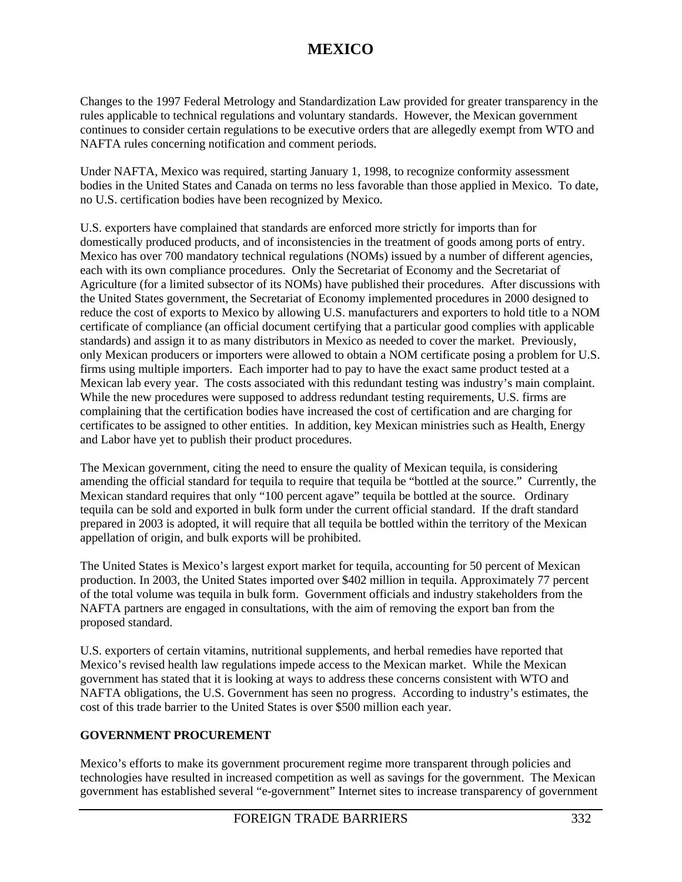Changes to the 1997 Federal Metrology and Standardization Law provided for greater transparency in the rules applicable to technical regulations and voluntary standards. However, the Mexican government continues to consider certain regulations to be executive orders that are allegedly exempt from WTO and NAFTA rules concerning notification and comment periods.

Under NAFTA, Mexico was required, starting January 1, 1998, to recognize conformity assessment bodies in the United States and Canada on terms no less favorable than those applied in Mexico. To date, no U.S. certification bodies have been recognized by Mexico.

U.S. exporters have complained that standards are enforced more strictly for imports than for domestically produced products, and of inconsistencies in the treatment of goods among ports of entry. Mexico has over 700 mandatory technical regulations (NOMs) issued by a number of different agencies, each with its own compliance procedures. Only the Secretariat of Economy and the Secretariat of Agriculture (for a limited subsector of its NOMs) have published their procedures. After discussions with the United States government, the Secretariat of Economy implemented procedures in 2000 designed to reduce the cost of exports to Mexico by allowing U.S. manufacturers and exporters to hold title to a NOM certificate of compliance (an official document certifying that a particular good complies with applicable standards) and assign it to as many distributors in Mexico as needed to cover the market. Previously, only Mexican producers or importers were allowed to obtain a NOM certificate posing a problem for U.S. firms using multiple importers. Each importer had to pay to have the exact same product tested at a Mexican lab every year. The costs associated with this redundant testing was industry's main complaint. While the new procedures were supposed to address redundant testing requirements, U.S. firms are complaining that the certification bodies have increased the cost of certification and are charging for certificates to be assigned to other entities. In addition, key Mexican ministries such as Health, Energy and Labor have yet to publish their product procedures.

The Mexican government, citing the need to ensure the quality of Mexican tequila, is considering amending the official standard for tequila to require that tequila be "bottled at the source." Currently, the Mexican standard requires that only "100 percent agave" tequila be bottled at the source. Ordinary tequila can be sold and exported in bulk form under the current official standard. If the draft standard prepared in 2003 is adopted, it will require that all tequila be bottled within the territory of the Mexican appellation of origin, and bulk exports will be prohibited.

The United States is Mexico's largest export market for tequila, accounting for 50 percent of Mexican production. In 2003, the United States imported over \$402 million in tequila. Approximately 77 percent of the total volume was tequila in bulk form. Government officials and industry stakeholders from the NAFTA partners are engaged in consultations, with the aim of removing the export ban from the proposed standard.

U.S. exporters of certain vitamins, nutritional supplements, and herbal remedies have reported that Mexico's revised health law regulations impede access to the Mexican market. While the Mexican government has stated that it is looking at ways to address these concerns consistent with WTO and NAFTA obligations, the U.S. Government has seen no progress. According to industry's estimates, the cost of this trade barrier to the United States is over \$500 million each year.

### **GOVERNMENT PROCUREMENT**

Mexico's efforts to make its government procurement regime more transparent through policies and technologies have resulted in increased competition as well as savings for the government. The Mexican government has established several "e-government" Internet sites to increase transparency of government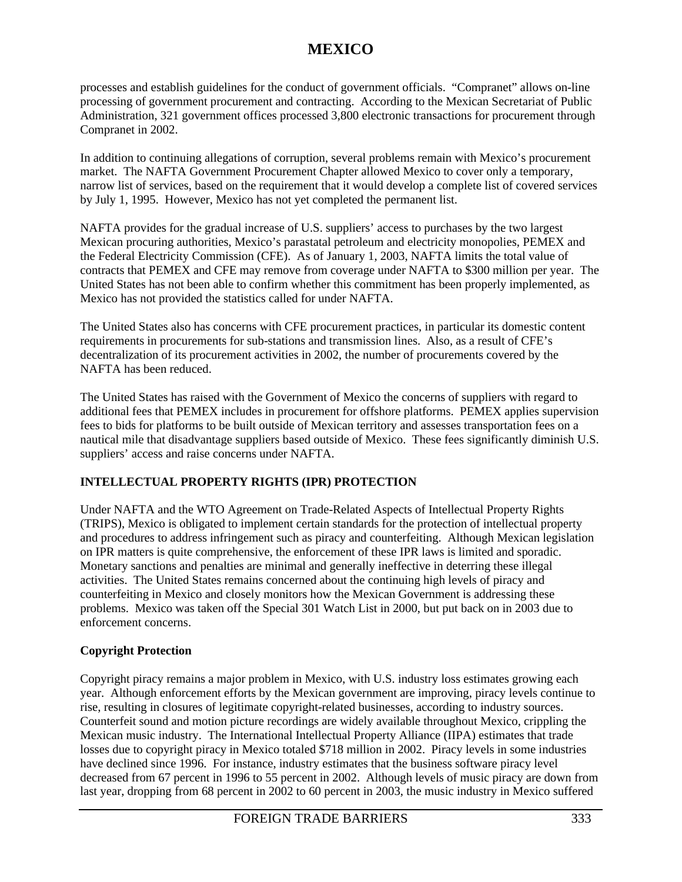processes and establish guidelines for the conduct of government officials. "Compranet" allows on-line processing of government procurement and contracting. According to the Mexican Secretariat of Public Administration, 321 government offices processed 3,800 electronic transactions for procurement through Compranet in 2002.

In addition to continuing allegations of corruption, several problems remain with Mexico's procurement market. The NAFTA Government Procurement Chapter allowed Mexico to cover only a temporary, narrow list of services, based on the requirement that it would develop a complete list of covered services by July 1, 1995. However, Mexico has not yet completed the permanent list.

NAFTA provides for the gradual increase of U.S. suppliers' access to purchases by the two largest Mexican procuring authorities, Mexico's parastatal petroleum and electricity monopolies, PEMEX and the Federal Electricity Commission (CFE). As of January 1, 2003, NAFTA limits the total value of contracts that PEMEX and CFE may remove from coverage under NAFTA to \$300 million per year. The United States has not been able to confirm whether this commitment has been properly implemented, as Mexico has not provided the statistics called for under NAFTA.

The United States also has concerns with CFE procurement practices, in particular its domestic content requirements in procurements for sub-stations and transmission lines. Also, as a result of CFE's decentralization of its procurement activities in 2002, the number of procurements covered by the NAFTA has been reduced.

The United States has raised with the Government of Mexico the concerns of suppliers with regard to additional fees that PEMEX includes in procurement for offshore platforms. PEMEX applies supervision fees to bids for platforms to be built outside of Mexican territory and assesses transportation fees on a nautical mile that disadvantage suppliers based outside of Mexico. These fees significantly diminish U.S. suppliers' access and raise concerns under NAFTA.

## **INTELLECTUAL PROPERTY RIGHTS (IPR) PROTECTION**

Under NAFTA and the WTO Agreement on Trade-Related Aspects of Intellectual Property Rights (TRIPS), Mexico is obligated to implement certain standards for the protection of intellectual property and procedures to address infringement such as piracy and counterfeiting. Although Mexican legislation on IPR matters is quite comprehensive, the enforcement of these IPR laws is limited and sporadic. Monetary sanctions and penalties are minimal and generally ineffective in deterring these illegal activities. The United States remains concerned about the continuing high levels of piracy and counterfeiting in Mexico and closely monitors how the Mexican Government is addressing these problems. Mexico was taken off the Special 301 Watch List in 2000, but put back on in 2003 due to enforcement concerns.

### **Copyright Protection**

Copyright piracy remains a major problem in Mexico, with U.S. industry loss estimates growing each year. Although enforcement efforts by the Mexican government are improving, piracy levels continue to rise, resulting in closures of legitimate copyright-related businesses, according to industry sources. Counterfeit sound and motion picture recordings are widely available throughout Mexico, crippling the Mexican music industry. The International Intellectual Property Alliance (IIPA) estimates that trade losses due to copyright piracy in Mexico totaled \$718 million in 2002. Piracy levels in some industries have declined since 1996. For instance, industry estimates that the business software piracy level decreased from 67 percent in 1996 to 55 percent in 2002. Although levels of music piracy are down from last year, dropping from 68 percent in 2002 to 60 percent in 2003, the music industry in Mexico suffered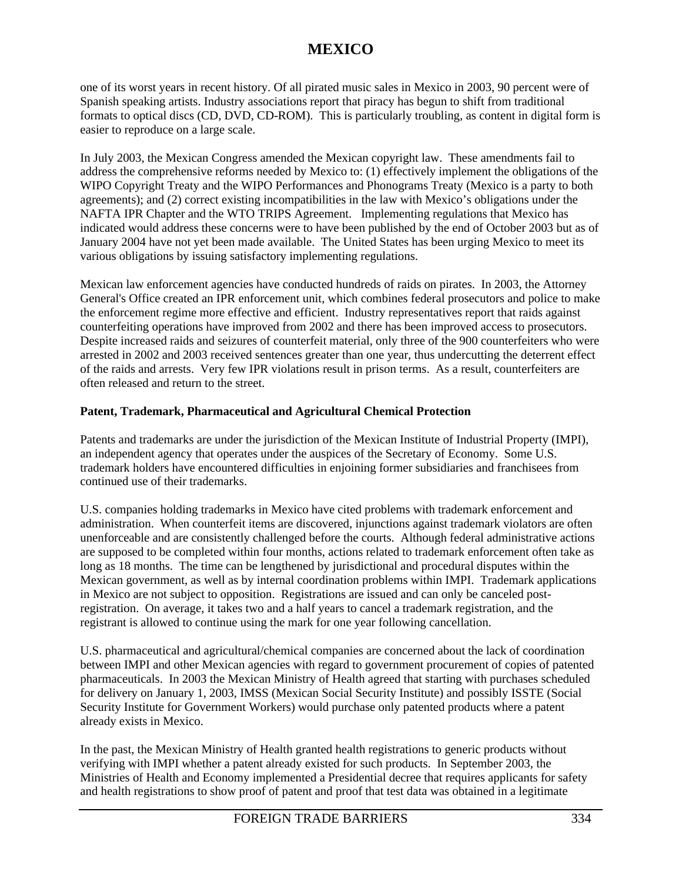one of its worst years in recent history. Of all pirated music sales in Mexico in 2003, 90 percent were of Spanish speaking artists. Industry associations report that piracy has begun to shift from traditional formats to optical discs (CD, DVD, CD-ROM). This is particularly troubling, as content in digital form is easier to reproduce on a large scale.

In July 2003, the Mexican Congress amended the Mexican copyright law. These amendments fail to address the comprehensive reforms needed by Mexico to: (1) effectively implement the obligations of the WIPO Copyright Treaty and the WIPO Performances and Phonograms Treaty (Mexico is a party to both agreements); and (2) correct existing incompatibilities in the law with Mexico's obligations under the NAFTA IPR Chapter and the WTO TRIPS Agreement. Implementing regulations that Mexico has indicated would address these concerns were to have been published by the end of October 2003 but as of January 2004 have not yet been made available. The United States has been urging Mexico to meet its various obligations by issuing satisfactory implementing regulations.

Mexican law enforcement agencies have conducted hundreds of raids on pirates. In 2003, the Attorney General's Office created an IPR enforcement unit, which combines federal prosecutors and police to make the enforcement regime more effective and efficient. Industry representatives report that raids against counterfeiting operations have improved from 2002 and there has been improved access to prosecutors. Despite increased raids and seizures of counterfeit material, only three of the 900 counterfeiters who were arrested in 2002 and 2003 received sentences greater than one year, thus undercutting the deterrent effect of the raids and arrests. Very few IPR violations result in prison terms. As a result, counterfeiters are often released and return to the street.

### **Patent, Trademark, Pharmaceutical and Agricultural Chemical Protection**

Patents and trademarks are under the jurisdiction of the Mexican Institute of Industrial Property (IMPI), an independent agency that operates under the auspices of the Secretary of Economy. Some U.S. trademark holders have encountered difficulties in enjoining former subsidiaries and franchisees from continued use of their trademarks.

U.S. companies holding trademarks in Mexico have cited problems with trademark enforcement and administration. When counterfeit items are discovered, injunctions against trademark violators are often unenforceable and are consistently challenged before the courts. Although federal administrative actions are supposed to be completed within four months, actions related to trademark enforcement often take as long as 18 months. The time can be lengthened by jurisdictional and procedural disputes within the Mexican government, as well as by internal coordination problems within IMPI. Trademark applications in Mexico are not subject to opposition. Registrations are issued and can only be canceled postregistration. On average, it takes two and a half years to cancel a trademark registration, and the registrant is allowed to continue using the mark for one year following cancellation.

U.S. pharmaceutical and agricultural/chemical companies are concerned about the lack of coordination between IMPI and other Mexican agencies with regard to government procurement of copies of patented pharmaceuticals. In 2003 the Mexican Ministry of Health agreed that starting with purchases scheduled for delivery on January 1, 2003, IMSS (Mexican Social Security Institute) and possibly ISSTE (Social Security Institute for Government Workers) would purchase only patented products where a patent already exists in Mexico.

In the past, the Mexican Ministry of Health granted health registrations to generic products without verifying with IMPI whether a patent already existed for such products. In September 2003, the Ministries of Health and Economy implemented a Presidential decree that requires applicants for safety and health registrations to show proof of patent and proof that test data was obtained in a legitimate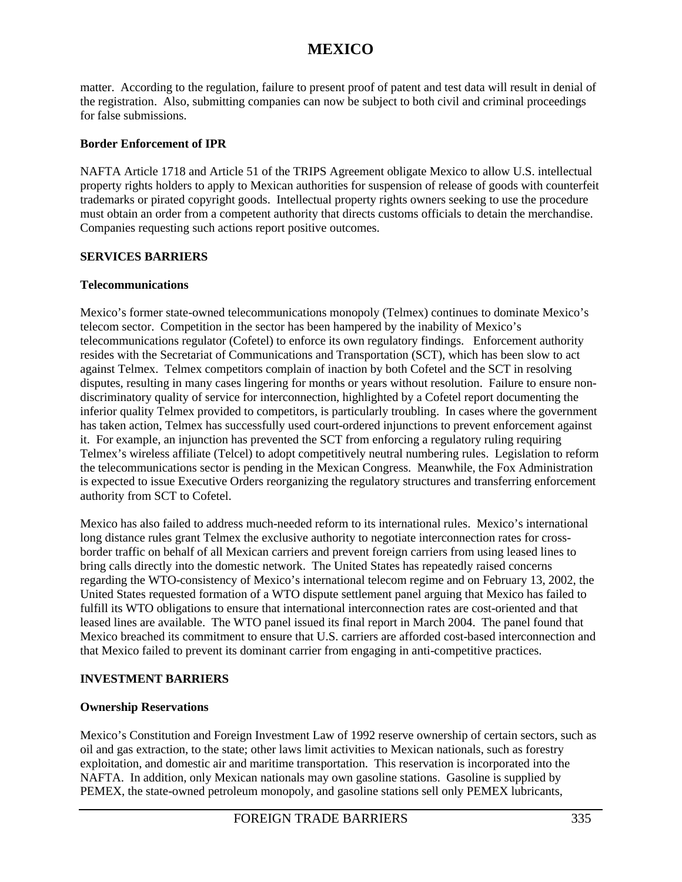matter. According to the regulation, failure to present proof of patent and test data will result in denial of the registration. Also, submitting companies can now be subject to both civil and criminal proceedings for false submissions.

### **Border Enforcement of IPR**

NAFTA Article 1718 and Article 51 of the TRIPS Agreement obligate Mexico to allow U.S. intellectual property rights holders to apply to Mexican authorities for suspension of release of goods with counterfeit trademarks or pirated copyright goods. Intellectual property rights owners seeking to use the procedure must obtain an order from a competent authority that directs customs officials to detain the merchandise. Companies requesting such actions report positive outcomes.

### **SERVICES BARRIERS**

### **Telecommunications**

Mexico's former state-owned telecommunications monopoly (Telmex) continues to dominate Mexico's telecom sector. Competition in the sector has been hampered by the inability of Mexico's telecommunications regulator (Cofetel) to enforce its own regulatory findings. Enforcement authority resides with the Secretariat of Communications and Transportation (SCT), which has been slow to act against Telmex. Telmex competitors complain of inaction by both Cofetel and the SCT in resolving disputes, resulting in many cases lingering for months or years without resolution. Failure to ensure nondiscriminatory quality of service for interconnection, highlighted by a Cofetel report documenting the inferior quality Telmex provided to competitors, is particularly troubling. In cases where the government has taken action, Telmex has successfully used court-ordered injunctions to prevent enforcement against it. For example, an injunction has prevented the SCT from enforcing a regulatory ruling requiring Telmex's wireless affiliate (Telcel) to adopt competitively neutral numbering rules. Legislation to reform the telecommunications sector is pending in the Mexican Congress. Meanwhile, the Fox Administration is expected to issue Executive Orders reorganizing the regulatory structures and transferring enforcement authority from SCT to Cofetel.

Mexico has also failed to address much-needed reform to its international rules. Mexico's international long distance rules grant Telmex the exclusive authority to negotiate interconnection rates for crossborder traffic on behalf of all Mexican carriers and prevent foreign carriers from using leased lines to bring calls directly into the domestic network. The United States has repeatedly raised concerns regarding the WTO-consistency of Mexico's international telecom regime and on February 13, 2002, the United States requested formation of a WTO dispute settlement panel arguing that Mexico has failed to fulfill its WTO obligations to ensure that international interconnection rates are cost-oriented and that leased lines are available. The WTO panel issued its final report in March 2004. The panel found that Mexico breached its commitment to ensure that U.S. carriers are afforded cost-based interconnection and that Mexico failed to prevent its dominant carrier from engaging in anti-competitive practices.

#### **INVESTMENT BARRIERS**

#### **Ownership Reservations**

Mexico's Constitution and Foreign Investment Law of 1992 reserve ownership of certain sectors, such as oil and gas extraction, to the state; other laws limit activities to Mexican nationals, such as forestry exploitation, and domestic air and maritime transportation. This reservation is incorporated into the NAFTA. In addition, only Mexican nationals may own gasoline stations. Gasoline is supplied by PEMEX, the state-owned petroleum monopoly, and gasoline stations sell only PEMEX lubricants,